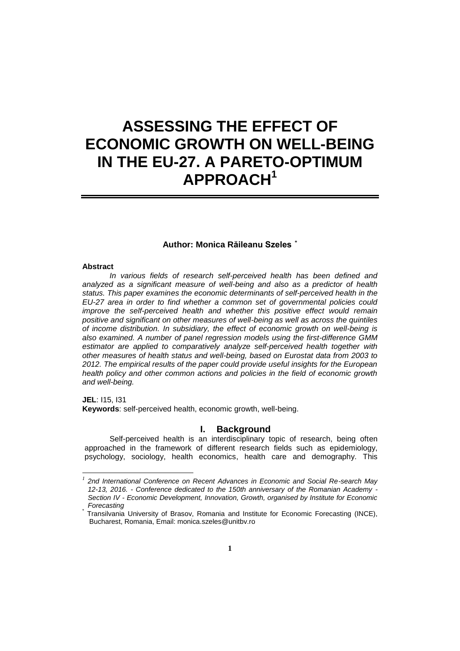# **ASSESSING THE EFFECT OF ECONOMIC GROWTH ON WELL-BEING IN THE EU-27. A PARETO-OPTIMUM APPROACH<sup>1</sup>**

# **Author: Monica Răileanu Szeles \***

#### **Abstract**

*In various fields of research self-perceived health has been defined and analyzed as a significant measure of well-being and also as a predictor of health status. This paper examines the economic determinants of self-perceived health in the EU-27 area in order to find whether a common set of governmental policies could improve the self-perceived health and whether this positive effect would remain positive and significant on other measures of well-being as well as across the quintiles of income distribution. In subsidiary, the effect of economic growth on well-being is also examined. A number of panel regression models using the first-difference GMM estimator are applied to comparatively analyze self-perceived health together with other measures of health status and well-being, based on Eurostat data from 2003 to 2012. The empirical results of the paper could provide useful insights for the European health policy and other common actions and policies in the field of economic growth and well-being.*

**JEL**: I15, I31 **Keywords**: self-perceived health, economic growth, well-being.

# **I. Background**

Self-perceived health is an interdisciplinary topic of research, being often approached in the framework of different research fields such as epidemiology, psychology, sociology, health economics, health care and demography. This

 *1 2nd International Conference on Recent Advances in Economic and Social Re-search May 12-13, 2016. - Conference dedicated to the 150th anniversary of the Romanian Academy - Section IV - Economic Development, Innovation, Growth, organised by Institute for Economic Forecasting*

<sup>\*</sup> Transilvania University of Brasov, Romania and Institute for Economic Forecasting (INCE), Bucharest, Romania, Email: monica.szeles@unitbv.ro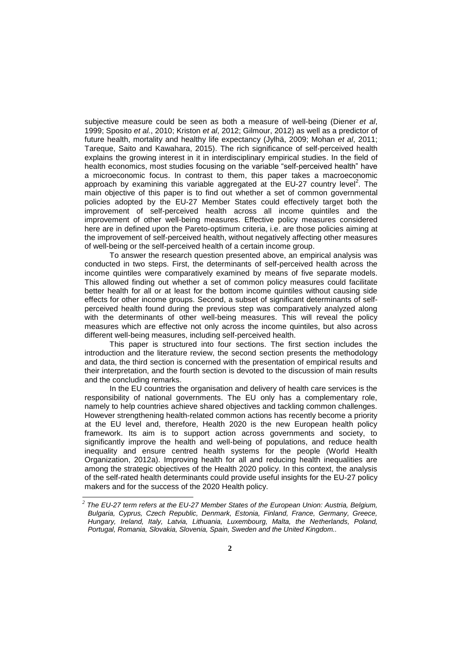subjective measure could be seen as both a measure of well-being (Diener *et al*, 1999; Sposito *et al.*, 2010; Kriston *et al*, 2012; Gilmour, 2012) as well as a predictor of future health, mortality and healthy life expectancy (Jylhä, 2009; Mohan *et al*, 2011; Tareque, Saito and Kawahara, 2015). The rich significance of self-perceived health explains the growing interest in it in interdisciplinary empirical studies. In the field of health economics, most studies focusing on the variable "self-perceived health" have a microeconomic focus. In contrast to them, this paper takes a macroeconomic approach by examining this variable aggregated at the EU-27 country level<sup>2</sup>. The main objective of this paper is to find out whether a set of common governmental policies adopted by the EU-27 Member States could effectively target both the improvement of self-perceived health across all income quintiles and the improvement of other well-being measures. Effective policy measures considered here are in defined upon the Pareto-optimum criteria, i.e. are those policies aiming at the improvement of self-perceived health, without negatively affecting other measures of well-being or the self-perceived health of a certain income group.

To answer the research question presented above, an empirical analysis was conducted in two steps. First, the determinants of self-perceived health across the income quintiles were comparatively examined by means of five separate models. This allowed finding out whether a set of common policy measures could facilitate better health for all or at least for the bottom income quintiles without causing side effects for other income groups. Second, a subset of significant determinants of selfperceived health found during the previous step was comparatively analyzed along with the determinants of other well-being measures. This will reveal the policy measures which are effective not only across the income quintiles, but also across different well-being measures, including self-perceived health.

This paper is structured into four sections. The first section includes the introduction and the literature review, the second section presents the methodology and data, the third section is concerned with the presentation of empirical results and their interpretation, and the fourth section is devoted to the discussion of main results and the concluding remarks.

In the EU countries the organisation and delivery of health care services is the responsibility of national governments. The EU only has a complementary role, namely to help countries achieve shared objectives and tackling common challenges. However strengthening health-related common actions has recently become a priority at the EU level and, therefore, Health 2020 is the new European health policy framework. Its aim is to support action across governments and society, to significantly improve the health and well-being of populations, and reduce health inequality and ensure centred health systems for the people (World Health Organization, 2012a). Improving health for all and reducing health inequalities are among the strategic objectives of the Health 2020 policy. In this context, the analysis of the self-rated health determinants could provide useful insights for the EU-27 policy makers and for the success of the 2020 Health policy.

-

*<sup>2</sup> The EU-27 term refers at the EU-27 Member States of the European Union: Austria, Belgium, Bulgaria, Cyprus, Czech Republic, Denmark, Estonia, Finland, France, Germany, Greece, Hungary, Ireland, Italy, Latvia, Lithuania, Luxembourg, Malta, the Netherlands, Poland, Portugal, Romania, Slovakia, Slovenia, Spain, Sweden and the United Kingdom..*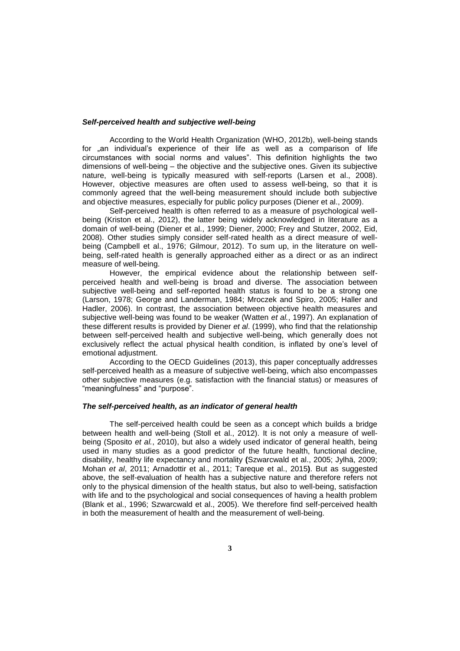#### *Self-perceived health and subjective well-being*

According to the World Health Organization (WHO, 2012b), well-being stands for "an individual's experience of their life as well as a comparison of life circumstances with social norms and values". This definition highlights the two dimensions of well-being – the objective and the subjective ones. Given its subjective nature, well-being is typically measured with self-reports (Larsen et al., 2008). However, objective measures are often used to assess well-being, so that it is commonly agreed that the well-being measurement should include both subjective and objective measures, especially for public policy purposes (Diener et al., 2009).

Self-perceived health is often referred to as a measure of psychological wellbeing (Kriston et al., 2012), the latter being widely acknowledged in literature as a domain of well-being (Diener et al., 1999; Diener, 2000; Frey and Stutzer, 2002, Eid, 2008). Other studies simply consider self-rated health as a direct measure of wellbeing (Campbell et al., 1976; Gilmour, 2012). To sum up, in the literature on wellbeing, self-rated health is generally approached either as a direct or as an indirect measure of well-being.

However, the empirical evidence about the relationship between selfperceived health and well-being is broad and diverse. The association between subjective well-being and self-reported health status is found to be a strong one (Larson, 1978; George and Landerman, 1984; Mroczek and Spiro, 2005; Haller and Hadler, 2006). In contrast, the association between objective health measures and subjective well-being was found to be weaker (Watten *et al.*, 1997). An explanation of these different results is provided by Diener *et al*. (1999), who find that the relationship between self-perceived health and subjective well-being, which generally does not exclusively reflect the actual physical health condition, is inflated by one's level of emotional adjustment.

According to the OECD Guidelines (2013), this paper conceptually addresses self-perceived health as a measure of subjective well-being, which also encompasses other subjective measures (e.g. satisfaction with the financial status) or measures of "meaningfulness" and "purpose".

#### *The self-perceived health, as an indicator of general health*

The self-perceived health could be seen as a concept which builds a bridge between health and well-being (Stoll et al., 2012). It is not only a measure of wellbeing (Sposito *et al.*, 2010), but also a widely used indicator of general health, being used in many studies as a good predictor of the future health, functional decline, disability, healthy life expectancy and mortality **(**Szwarcwald et al., 2005; Jylhä, 2009; Mohan *et al*, 2011; Arnadottir et al., 2011; Tareque et al., 2015**)**. But as suggested above, the self-evaluation of health has a subjective nature and therefore refers not only to the physical dimension of the health status, but also to well-being, satisfaction with life and to the psychological and social consequences of having a health problem (Blank et al., 1996; Szwarcwald et al., 2005). We therefore find self-perceived health in both the measurement of health and the measurement of well-being.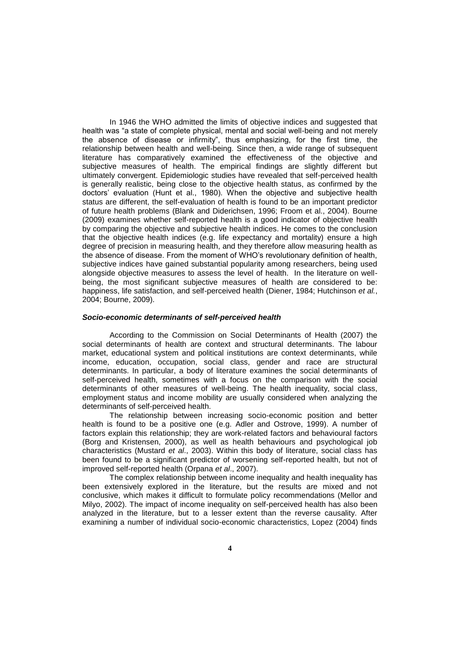In 1946 the WHO admitted the limits of objective indices and suggested that health was "a state of complete physical, mental and social well-being and not merely the absence of disease or infirmity", thus emphasizing, for the first time, the relationship between health and well-being. Since then, a wide range of subsequent literature has comparatively examined the effectiveness of the objective and subjective measures of health. The empirical findings are slightly different but ultimately convergent. Epidemiologic studies have revealed that self-perceived health is generally realistic, being close to the objective health status, as confirmed by the doctors' evaluation (Hunt et al., 1980). When the objective and subjective health status are different, the self-evaluation of health is found to be an important predictor of future health problems (Blank and Diderichsen, 1996; Froom et al., 2004). Bourne (2009) examines whether self-reported health is a good indicator of objective health by comparing the objective and subjective health indices. He comes to the conclusion that the objective health indices (e.g. life expectancy and mortality) ensure a high degree of precision in measuring health, and they therefore allow measuring health as the absence of disease. From the moment of WHO's revolutionary definition of health, subjective indices have gained substantial popularity among researchers, being used alongside objective measures to assess the level of health. In the literature on wellbeing, the most significant subjective measures of health are considered to be: happiness, life satisfaction, and self-perceived health (Diener, 1984; Hutchinson *et al.*, 2004; Bourne, 2009).

## *Socio-economic determinants of self-perceived health*

According to the Commission on Social Determinants of Health (2007) the social determinants of health are context and structural determinants. The labour market, educational system and political institutions are context determinants, while income, education, occupation, social class, gender and race are structural determinants. In particular, a body of literature examines the social determinants of self-perceived health, sometimes with a focus on the comparison with the social determinants of other measures of well-being. The health inequality, social class, employment status and income mobility are usually considered when analyzing the determinants of self-perceived health.

The relationship between increasing socio-economic position and better health is found to be a positive one (e.g. Adler and Ostrove, 1999). A number of factors explain this relationship; they are work-related factors and behavioural factors (Borg and Kristensen, 2000), as well as health behaviours and psychological job characteristics (Mustard *et al*., 2003). Within this body of literature, social class has been found to be a significant predictor of worsening self-reported health, but not of improved self-reported health (Orpana *et al*., 2007).

The complex relationship between income inequality and health inequality has been extensively explored in the literature, but the results are mixed and not conclusive, which makes it difficult to formulate policy recommendations (Mellor and Milyo, 2002). The impact of income inequality on self-perceived health has also been analyzed in the literature, but to a lesser extent than the reverse causality. After examining a number of individual socio-economic characteristics, Lopez (2004) finds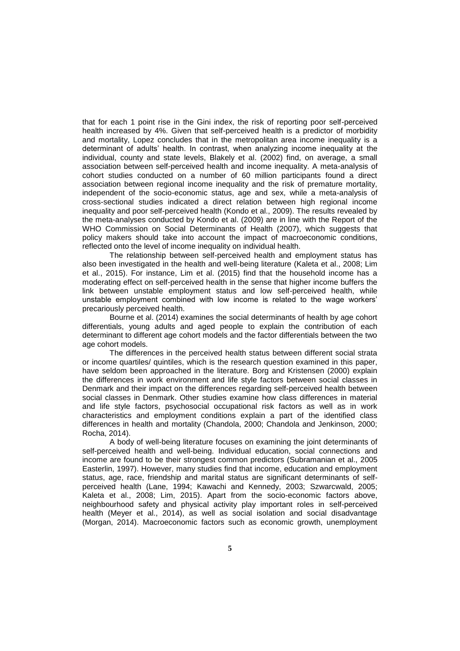that for each 1 point rise in the Gini index, the risk of reporting poor self-perceived health increased by 4%. Given that self-perceived health is a predictor of morbidity and mortality, Lopez concludes that in the metropolitan area income inequality is a determinant of adults' health. In contrast, when analyzing income inequality at the individual, county and state levels, Blakely et al. (2002) find, on average, a small association between self-perceived health and income inequality. A meta-analysis of cohort studies conducted on a number of 60 million participants found a direct association between regional income inequality and the risk of premature mortality, independent of the socio-economic status, age and sex, while a meta-analysis of cross-sectional studies indicated a direct relation between high regional income inequality and poor self-perceived health (Kondo et al., 2009). The results revealed by the meta-analyses conducted by Kondo et al. (2009) are in line with the Report of the WHO Commission on Social Determinants of Health (2007), which suggests that policy makers should take into account the impact of macroeconomic conditions, reflected onto the level of income inequality on individual health.

The relationship between self-perceived health and employment status has also been investigated in the health and well-being literature (Kaleta et al., 2008; Lim et al., 2015). For instance, Lim et al. (2015) find that the household income has a moderating effect on self-perceived health in the sense that higher income buffers the link between unstable employment status and low self-perceived health, while unstable employment combined with low income is related to the wage workers' precariously perceived health.

Bourne et al. (2014) examines the social determinants of health by age cohort differentials, young adults and aged people to explain the contribution of each determinant to different age cohort models and the factor differentials between the two age cohort models.

The differences in the perceived health status between different social strata or income quartiles/ quintiles, which is the research question examined in this paper, have seldom been approached in the literature. Borg and Kristensen (2000) explain the differences in work environment and life style factors between social classes in Denmark and their impact on the differences regarding self-perceived health between social classes in Denmark. Other studies examine how class differences in material and life style factors, psychosocial occupational risk factors as well as in work characteristics and employment conditions explain a part of the identified class differences in health and mortality (Chandola, 2000; Chandola and Jenkinson, 2000; Rocha, 2014).

A body of well-being literature focuses on examining the joint determinants of self-perceived health and well-being. Individual education, social connections and income are found to be their strongest common predictors (Subramanian et al., 2005 Easterlin, 1997). However, many studies find that income, education and employment status, age, race, friendship and marital status are significant determinants of selfperceived health (Lane, 1994; Kawachi and Kennedy, 2003; Szwarcwald, 2005; Kaleta et al., 2008; Lim, 2015). Apart from the socio-economic factors above, neighbourhood safety and physical activity play important roles in self-perceived health (Meyer et al., 2014), as well as social isolation and social disadvantage (Morgan, 2014). Macroeconomic factors such as economic growth, unemployment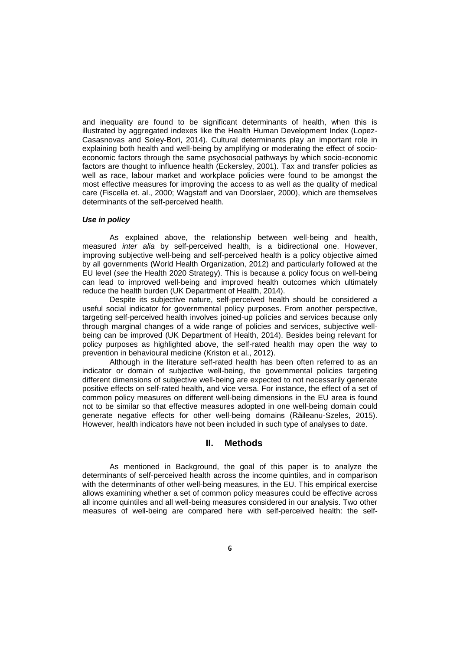and inequality are found to be significant determinants of health, when this is illustrated by aggregated indexes like the Health Human Development Index (Lopez-Casasnovas and Soley-Bori, 2014). Cultural determinants play an important role in explaining both health and well-being by amplifying or moderating the effect of socioeconomic factors through the same psychosocial pathways by which socio-economic factors are thought to influence health (Eckersley, 2001). Tax and transfer policies as well as race, labour market and workplace policies were found to be amongst the most effective measures for improving the access to as well as the quality of medical care (Fiscella et. al., 2000; Wagstaff and van Doorslaer, 2000), which are themselves determinants of the self-perceived health.

## *Use in policy*

As explained above, the relationship between well-being and health, measured *inter alia* by self-perceived health, is a bidirectional one. However, improving subjective well-being and self-perceived health is a policy objective aimed by all governments (World Health Organization, 2012) and particularly followed at the EU level (*see* the Health 2020 Strategy). This is because a policy focus on well-being can lead to improved well-being and improved health outcomes which ultimately reduce the health burden (UK Department of Health, 2014).

Despite its subjective nature, self-perceived health should be considered a useful social indicator for governmental policy purposes. From another perspective, targeting self-perceived health involves joined-up policies and services because only through marginal changes of a wide range of policies and services, subjective wellbeing can be improved (UK Department of Health, 2014). Besides being relevant for policy purposes as highlighted above, the self-rated health may open the way to prevention in behavioural medicine (Kriston et al., 2012).

Although in the literature self-rated health has been often referred to as an indicator or domain of subjective well-being, the governmental policies targeting different dimensions of subjective well-being are expected to not necessarily generate positive effects on self-rated health, and vice versa. For instance, the effect of a set of common policy measures on different well-being dimensions in the EU area is found not to be similar so that effective measures adopted in one well-being domain could generate negative effects for other well-being domains (Răileanu-Szeles, 2015). However, health indicators have not been included in such type of analyses to date.

## **II. Methods**

As mentioned in Background, the goal of this paper is to analyze the determinants of self-perceived health across the income quintiles, and in comparison with the determinants of other well-being measures, in the EU. This empirical exercise allows examining whether a set of common policy measures could be effective across all income quintiles and all well-being measures considered in our analysis. Two other measures of well-being are compared here with self-perceived health: the self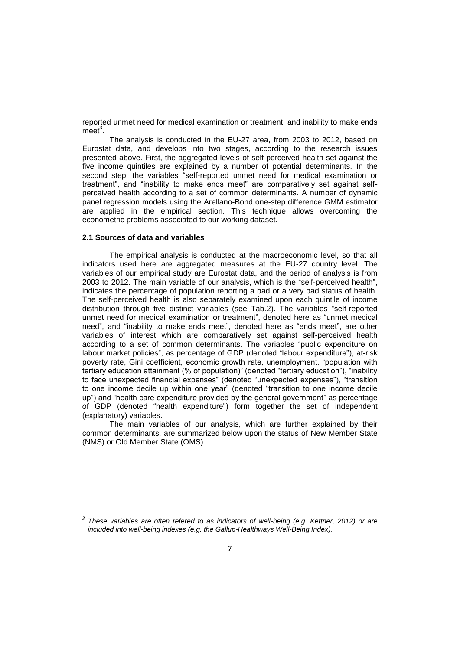reported unmet need for medical examination or treatment, and inability to make ends  $meet<sup>3</sup>$ .

The analysis is conducted in the EU-27 area, from 2003 to 2012, based on Eurostat data, and develops into two stages, according to the research issues presented above. First, the aggregated levels of self-perceived health set against the five income quintiles are explained by a number of potential determinants. In the second step, the variables "self-reported unmet need for medical examination or treatment", and "inability to make ends meet" are comparatively set against selfperceived health according to a set of common determinants. A number of dynamic panel regression models using the Arellano-Bond one-step difference GMM estimator are applied in the empirical section. This technique allows overcoming the econometric problems associated to our working dataset.

#### **2.1 Sources of data and variables**

-

The empirical analysis is conducted at the macroeconomic level, so that all indicators used here are aggregated measures at the EU-27 country level. The variables of our empirical study are Eurostat data, and the period of analysis is from 2003 to 2012. The main variable of our analysis, which is the "self-perceived health", indicates the percentage of population reporting a bad or a very bad status of health. The self-perceived health is also separately examined upon each quintile of income distribution through five distinct variables (see Tab.2). The variables "self-reported unmet need for medical examination or treatment", denoted here as "unmet medical need", and "inability to make ends meet", denoted here as "ends meet", are other variables of interest which are comparatively set against self-perceived health according to a set of common determinants. The variables "public expenditure on labour market policies", as percentage of GDP (denoted "labour expenditure"), at-risk poverty rate, Gini coefficient, economic growth rate, unemployment, "population with tertiary education attainment (% of population)" (denoted "tertiary education"), "inability to face unexpected financial expenses" (denoted "unexpected expenses"), "transition to one income decile up within one year" (denoted "transition to one income decile up") and "health care expenditure provided by the general government" as percentage of GDP (denoted "health expenditure") form together the set of independent (explanatory) variables.

The main variables of our analysis, which are further explained by their common determinants, are summarized below upon the status of New Member State (NMS) or Old Member State (OMS).

*<sup>3</sup> These variables are often refered to as indicators of well-being (e.g. Kettner, 2012) or are included into well-being indexes (e.g. the Gallup-Healthways Well-Being Index).*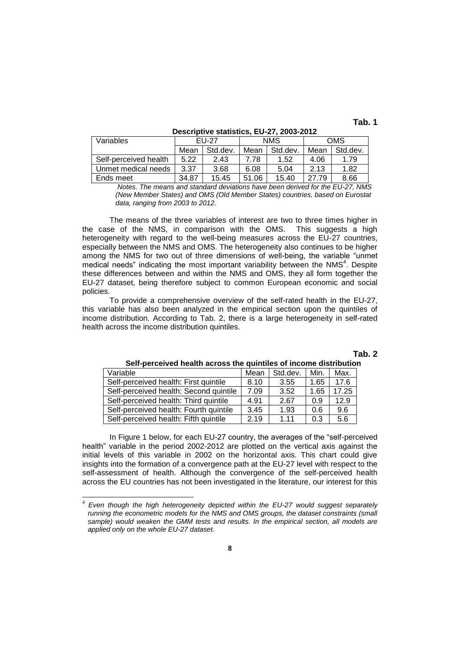**Tab. 1**

| Variables             | $EU-27$ |          | <b>NMS</b> |          | <b>OMS</b> |          |
|-----------------------|---------|----------|------------|----------|------------|----------|
|                       | Mean    | Std.dev. | Mean       | Std.dev. | Mean       | Std.dev. |
| Self-perceived health | 5.22    | 2.43     | 7.78       | 1.52     | 4.06       | 1.79     |
| Unmet medical needs   | 3.37    | 3.68     | 6.08       | 5.04     | 2.13       | 1.82     |
| Ends meet             | 34.87   | 15.45    | 51.06      | 15.40    | 27.79      | 8.66     |

**Descriptive statistics, EU-27, 2003-2012**

 *Notes. The means and standard deviations have been derived for the EU-27, NMS (New Member States) and OMS (Old Member States) countries, based on Eurostat data, ranging from 2003 to 2012.*

The means of the three variables of interest are two to three times higher in the case of the NMS, in comparison with the OMS. This suggests a high heterogeneity with regard to the well-being measures across the EU-27 countries, especially between the NMS and OMS. The heterogeneity also continues to be higher among the NMS for two out of three dimensions of well-being, the variable "unmet medical needs" indicating the most important variability between the NMS $4$ . Despite these differences between and within the NMS and OMS, they all form together the EU-27 dataset, being therefore subject to common European economic and social policies.

To provide a comprehensive overview of the self-rated health in the EU-27, this variable has also been analyzed in the empirical section upon the quintiles of income distribution. According to Tab. 2, there is a large heterogeneity in self-rated health across the income distribution quintiles.

## **Tab. 2**

| Variable                               | Mean | Std.dev. | Min. | Max.  |
|----------------------------------------|------|----------|------|-------|
| Self-perceived health: First quintile  | 8.10 | 3.55     | 1.65 | 17.6  |
| Self-perceived health: Second quintile | 7.09 | 3.52     | 1.65 | 17.25 |
| Self-perceived health: Third quintile  | 4.91 | 2.67     | 0.9  | 12.9  |
| Self-perceived health: Fourth quintile | 3.45 | 1.93     | 0.6  | 9.6   |
| Self-perceived health: Fifth quintile  | 2.19 | 1 1 1    | 0.3  | 5.6   |

**Self-perceived health across the quintiles of income distribution**

In Figure 1 below, for each EU-27 country, the averages of the "self-perceived health" variable in the period 2002-2012 are plotted on the vertical axis against the initial levels of this variable in 2002 on the horizontal axis. This chart could give insights into the formation of a convergence path at the EU-27 level with respect to the self-assessment of health. Although the convergence of the self-perceived health across the EU countries has not been investigated in the literature, our interest for this

-

*<sup>4</sup> Even though the high heterogeneity depicted within the EU-27 would suggest separately running the econometric models for the NMS and OMS groups, the dataset constraints (small sample) would weaken the GMM tests and results. In the empirical section, all models are applied only on the whole EU-27 dataset.*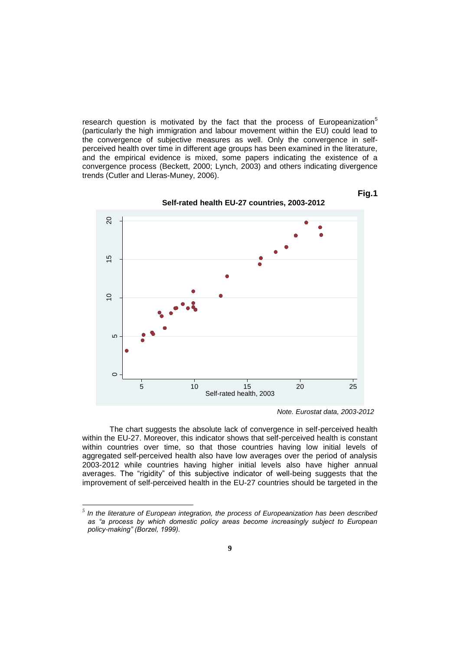research question is motivated by the fact that the process of Europeanization<sup>5</sup> (particularly the high immigration and labour movement within the EU) could lead to the convergence of subjective measures as well. Only the convergence in selfperceived health over time in different age groups has been examined in the literature, and the empirical evidence is mixed, some papers indicating the existence of a convergence process (Beckett, 2000; Lynch, 2003) and others indicating divergence trends (Cutler and Lleras-Muney, 2006).



**Self-rated health EU-27 countries, 2003-2012**

**Fig.1**

The chart suggests the absolute lack of convergence in self-perceived health within the EU-27. Moreover, this indicator shows that self-perceived health is constant within countries over time, so that those countries having low initial levels of aggregated self-perceived health also have low averages over the period of analysis 2003-2012 while countries having higher initial levels also have higher annual averages. The "rigidity" of this subjective indicator of well-being suggests that the improvement of self-perceived health in the EU-27 countries should be targeted in the

*Note. Eurostat data, 2003-2012*

 *5 In the literature of European integration, the process of Europeanization has been described*  as "a process by which domestic policy areas become increasingly subject to European *policy-making" (Borzel, 1999).*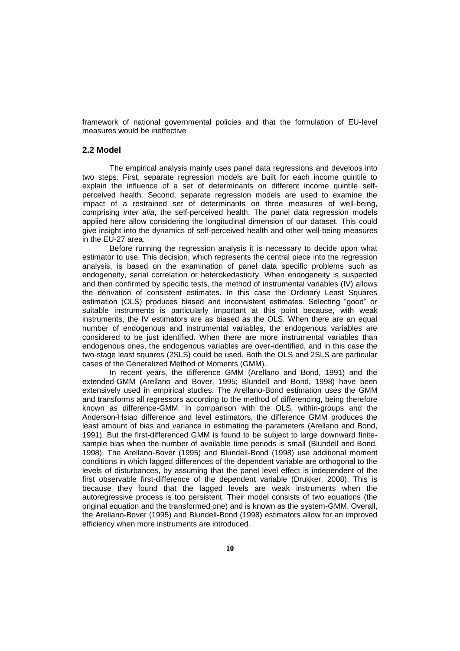framework of national governmental policies and that the formulation of EU-level measures would be ineffective

# **2.2 Model**

The empirical analysis mainly uses panel data regressions and develops into two steps. First, separate regression models are built for each income quintile to explain the influence of a set of determinants on different income quintile selfperceived health. Second, separate regression models are used to examine the impact of a restrained set of determinants on three measures of well-being, comprising *inter alia*, the self-perceived health. The panel data regression models applied here allow considering the longitudinal dimension of our dataset. This could give insight into the dynamics of self-perceived health and other well-being measures in the EU-27 area.

Before running the regression analysis it is necessary to decide upon what estimator to use. This decision, which represents the central piece into the regression analysis, is based on the examination of panel data specific problems such as endogeneity, serial correlation or heterokedasticity. When endogeneity is suspected and then confirmed by specific tests, the method of instrumental variables (IV) allows the derivation of consistent estimates. In this case the Ordinary Least Squares estimation (OLS) produces biased and inconsistent estimates. Selecting "good" or suitable instruments is particularly important at this point because, with weak instruments, the IV estimators are as biased as the OLS. When there are an equal number of endogenous and instrumental variables, the endogenous variables are considered to be just identified. When there are more instrumental variables than endogenous ones, the endogenous variables are over-identified, and in this case the two-stage least squares (2SLS) could be used. Both the OLS and 2SLS are particular cases of the Generalized Method of Moments (GMM).

In recent years, the difference GMM (Arellano and Bond, 1991) and the extended-GMM (Arellano and Bover, 1995; Blundell and Bond, 1998) have been extensively used in empirical studies. The Arellano-Bond estimation uses the GMM and transforms all regressors according to the method of differencing, being therefore known as difference-GMM. In comparison with the OLS, within-groups and the Anderson-Hsiao difference and level estimators, the difference GMM produces the least amount of bias and variance in estimating the parameters (Arellano and Bond, 1991). But the first-differenced GMM is found to be subject to large downward finitesample bias when the number of available time periods is small (Blundell and Bond, 1998). The Arellano-Bover (1995) and Blundell-Bond (1998) use additional moment conditions in which lagged differences of the dependent variable are orthogonal to the levels of disturbances, by assuming that the panel level effect is independent of the first observable first-difference of the dependent variable (Drukker, 2008). This is because they found that the lagged levels are weak instruments when the autoregressive process is too persistent. Their model consists of two equations (the original equation and the transformed one) and is known as the system-GMM. Overall, the Arellano-Bover (1995) and Blundell-Bond (1998) estimators allow for an improved efficiency when more instruments are introduced.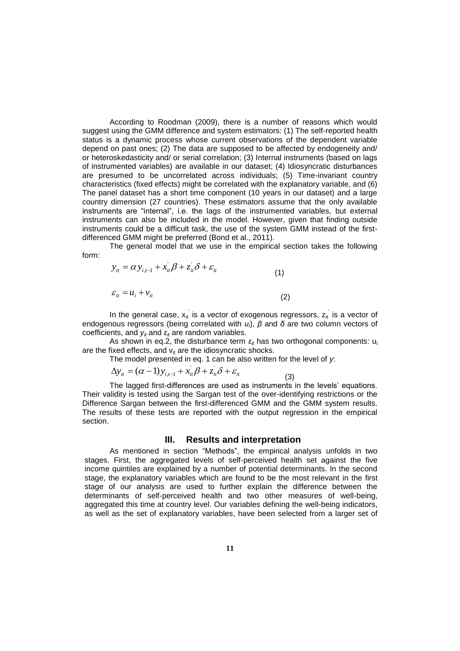According to Roodman (2009), there is a number of reasons which would suggest using the GMM difference and system estimators: (1) The self-reported health status is a dynamic process whose current observations of the dependent variable depend on past ones; (2) The data are supposed to be affected by endogeneity and/ or heteroskedasticity and/ or serial correlation; (3) Internal instruments (based on lags of instrumented variables) are available in our dataset; (4) Idiosyncratic disturbances are presumed to be uncorrelated across individuals; (5) Time-invariant country characteristics (fixed effects) might be correlated with the explanatory variable, and (6) The panel dataset has a short time component (10 years in our dataset) and a large country dimension (27 countries). These estimators assume that the only available instruments are "internal", i.e. the lags of the instrumented variables, but external instruments can also be included in the model. However, given that finding outside instruments could be a difficult task, the use of the system GMM instead of the firstdifferenced GMM might be preferred (Bond et al., 2011).

The general model that we use in the empirical section takes the following form:

$$
y_{it} = \alpha y_{i,t-1} + x_{it} \beta + z_{it} \delta + \varepsilon_{it}
$$
  
\n
$$
\varepsilon_{it} = u_i + v_{it}
$$
\n(1)  
\n(2)

In the general case,  $x_{it}$  is a vector of exogenous regressors,  $z_{it}$  is a vector of endogenous regressors (being correlated with *ui*), *β* and *δ* are two column vectors of coefficients, and  $y_i$  and  $\varepsilon_i$  are random variables.

As shown in eq.2, the disturbance term  $\varepsilon_{it}$  has two orthogonal components:  $u_i$ are the fixed effects, and  $v_{it}$  are the idiosyncratic shocks.

The model presented in eq. 1 can be also written for the level of *y*:

$$
\Delta y_{it} = (\alpha - 1) y_{i, t-1} + x_{it}^{\dagger} \beta + z_{it}^{\dagger} \delta + \varepsilon_{it}
$$
\n(3)

The lagged first-differences are used as instruments in the levels' equations. Their validity is tested using the Sargan test of the over-identifying restrictions or the Difference Sargan between the first-differenced GMM and the GMM system results. The results of these tests are reported with the output regression in the empirical section.

# **III. Results and interpretation**

As mentioned in section "Methods", the empirical analysis unfolds in two stages. First, the aggregated levels of self-perceived health set against the five income quintiles are explained by a number of potential determinants. In the second stage, the explanatory variables which are found to be the most relevant in the first stage of our analysis are used to further explain the difference between the determinants of self-perceived health and two other measures of well-being, aggregated this time at country level. Our variables defining the well-being indicators, as well as the set of explanatory variables, have been selected from a larger set of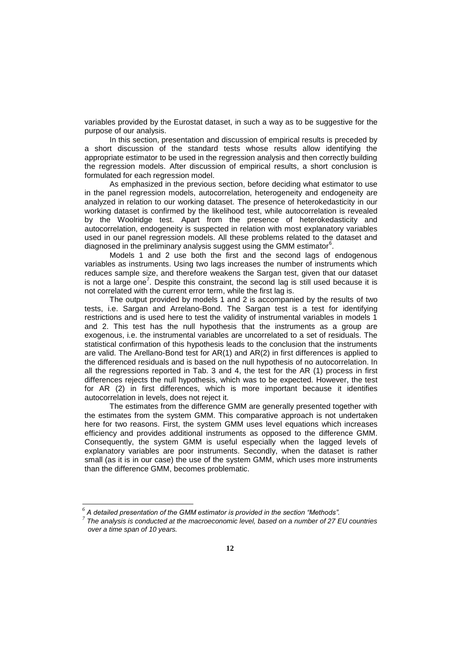variables provided by the Eurostat dataset, in such a way as to be suggestive for the purpose of our analysis.

In this section, presentation and discussion of empirical results is preceded by a short discussion of the standard tests whose results allow identifying the appropriate estimator to be used in the regression analysis and then correctly building the regression models. After discussion of empirical results, a short conclusion is formulated for each regression model.

As emphasized in the previous section, before deciding what estimator to use in the panel regression models, autocorrelation, heterogeneity and endogeneity are analyzed in relation to our working dataset. The presence of heterokedasticity in our working dataset is confirmed by the likelihood test, while autocorrelation is revealed by the Woolridge test. Apart from the presence of heterokedasticity and autocorrelation, endogeneity is suspected in relation with most explanatory variables used in our panel regression models. All these problems related to the dataset and diagnosed in the preliminary analysis suggest using the GMM estimator<sup>6</sup>.

Models 1 and 2 use both the first and the second lags of endogenous variables as instruments. Using two lags increases the number of instruments which reduces sample size, and therefore weakens the Sargan test, given that our dataset is not a large one<sup>7</sup>. Despite this constraint, the second lag is still used because it is not correlated with the current error term, while the first lag is.

The output provided by models 1 and 2 is accompanied by the results of two tests, i.e. Sargan and Arrelano-Bond. The Sargan test is a test for identifying restrictions and is used here to test the validity of instrumental variables in models 1 and 2. This test has the null hypothesis that the instruments as a group are exogenous, i.e. the instrumental variables are uncorrelated to a set of residuals. The statistical confirmation of this hypothesis leads to the conclusion that the instruments are valid. The Arellano-Bond test for AR(1) and AR(2) in first differences is applied to the differenced residuals and is based on the null hypothesis of no autocorrelation. In all the regressions reported in Tab. 3 and 4, the test for the AR (1) process in first differences rejects the null hypothesis, which was to be expected. However, the test for AR (2) in first differences, which is more important because it identifies autocorrelation in levels, does not reject it.

The estimates from the difference GMM are generally presented together with the estimates from the system GMM. This comparative approach is not undertaken here for two reasons. First, the system GMM uses level equations which increases efficiency and provides additional instruments as opposed to the difference GMM. Consequently, the system GMM is useful especially when the lagged levels of explanatory variables are poor instruments. Secondly, when the dataset is rather small (as it is in our case) the use of the system GMM, which uses more instruments than the difference GMM, becomes problematic.

-

*<sup>6</sup> A detailed presentation of the GMM estimator is provided in the section "Methods".*

*<sup>7</sup> The analysis is conducted at the macroeconomic level, based on a number of 27 EU countries over a time span of 10 years.*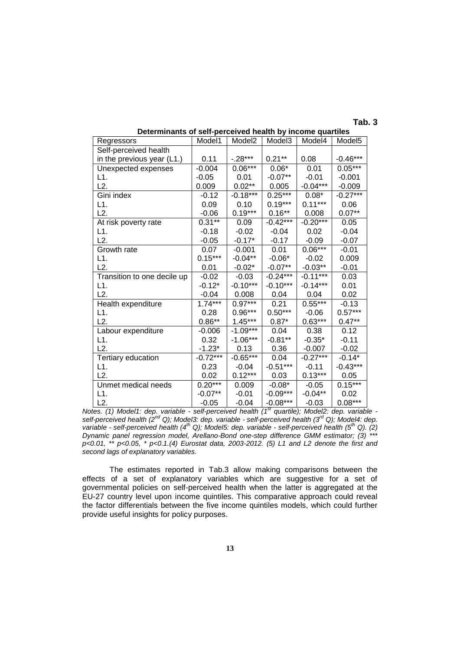# **Tab. 3**

| Regressors                  | Model1     | Model <sub>2</sub> | Model3     | Model4     | Model <sub>5</sub> |
|-----------------------------|------------|--------------------|------------|------------|--------------------|
| Self-perceived health       |            |                    |            |            |                    |
| in the previous year (L1.)  | 0.11       | $-.28***$          | $0.21***$  | 0.08       | $-0.46***$         |
| Unexpected expenses         | $-0.004$   | $0.06***$          | $0.06*$    | 0.01       | $0.05***$          |
| L1.                         | $-0.05$    | 0.01               | $-0.07**$  | $-0.01$    | $-0.001$           |
| L2.                         | 0.009      | $0.02**$           | 0.005      | $-0.04***$ | $-0.009$           |
| Gini index                  | $-0.12$    | $-0.18***$         | $0.25***$  | $0.08*$    | $-0.27***$         |
| L1.                         | 0.09       | 0.10               | $0.19***$  | $0.11***$  | 0.06               |
| L2.                         | $-0.06$    | $0.19***$          | $0.16***$  | 0.008      | $0.07**$           |
| At risk poverty rate        | $0.31***$  | 0.09               | $-0.42***$ | $-0.20***$ | 0.05               |
| L1.                         | $-0.18$    | $-0.02$            | $-0.04$    | 0.02       | $-0.04$            |
| L2.                         | $-0.05$    | $-0.17*$           | $-0.17$    | $-0.09$    | $-0.07$            |
| Growth rate                 | 0.07       | $-0.001$           | 0.01       | $0.06***$  | $-0.01$            |
| L1.                         | $0.15***$  | $-0.04**$          | $-0.06*$   | $-0.02$    | 0.009              |
| L2.                         | 0.01       | $-0.02*$           | $-0.07**$  | $-0.03**$  | $-0.01$            |
| Transition to one decile up | $-0.02$    | $-0.03$            | $-0.24***$ | $-0.11***$ | 0.03               |
| L1.                         | $-0.12*$   | $-0.10***$         | $-0.10***$ | $-0.14***$ | 0.01               |
| L2.                         | $-0.04$    | 0.008              | 0.04       | 0.04       | 0.02               |
| Health expenditure          | $1.74***$  | $0.97***$          | 0.21       | $0.55***$  | $-0.13$            |
| L1.                         | 0.28       | $0.96***$          | $0.50***$  | $-0.06$    | $0.57***$          |
| L2.                         | $0.86**$   | $1.45***$          | $0.87*$    | $0.63***$  | $0.47**$           |
| Labour expenditure          | $-0.006$   | $-1.09***$         | 0.04       | 0.38       | 0.12               |
| L1.                         | 0.32       | $-1.06***$         | $-0.81**$  | $-0.35*$   | $-0.11$            |
| L2.                         | $-1.23*$   | 0.13               | 0.36       | $-0.007$   | $-0.02$            |
| Tertiary education          | $-0.72***$ | $-0.65***$         | 0.04       | $-0.27***$ | $-0.14*$           |
| L1.                         | 0.23       | $-0.04$            | $-0.51***$ | $-0.11$    | $-0.43***$         |
| L2.                         | 0.02       | $0.12***$          | 0.03       | $0.13***$  | 0.05               |
| Unmet medical needs         | $0.20***$  | 0.009              | $-0.08*$   | $-0.05$    | $0.15***$          |
| L1.                         | $-0.07**$  | $-0.01$            | $-0.09***$ | $-0.04**$  | 0.02               |
| L2.                         | $-0.05$    | $-0.04$            | $-0.08***$ | $-0.03$    | $0.08***$          |

# **Determinants of self-perceived health by income quartiles**

*Notes. (1) Model1: dep. variable - self-perceived health (1st quartile); Model2: dep. variable self-perceived health (2nd Q); Model3: dep. variable - self-perceived health (3rd Q); Model4: dep. variable - self-perceived health (4th Q); Model5: dep. variable - self-perceived health (5th Q). (2) Dynamic panel regression model, Arellano-Bond one-step difference GMM estimator; (3) \*\*\* p<0.01, \*\* p<0.05, \* p<0.1.(4) Eurostat data, 2003-2012. (5) L1 and L2 denote the first and second lags of explanatory variables.*

The estimates reported in Tab.3 allow making comparisons between the effects of a set of explanatory variables which are suggestive for a set of governmental policies on self-perceived health when the latter is aggregated at the EU-27 country level upon income quintiles. This comparative approach could reveal the factor differentials between the five income quintiles models, which could further provide useful insights for policy purposes.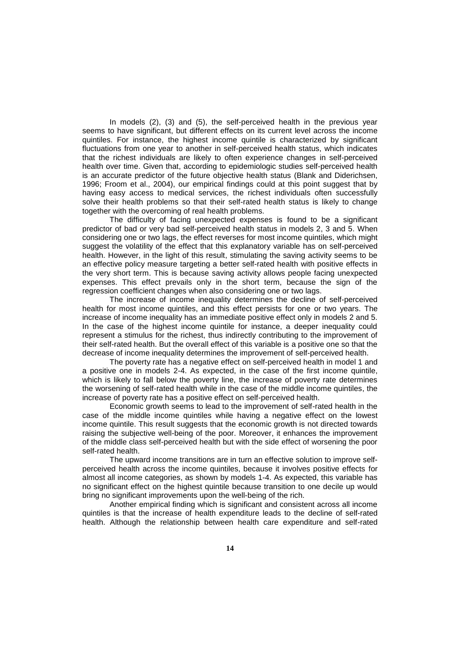In models (2), (3) and (5), the self-perceived health in the previous year seems to have significant, but different effects on its current level across the income quintiles. For instance, the highest income quintile is characterized by significant fluctuations from one year to another in self-perceived health status, which indicates that the richest individuals are likely to often experience changes in self-perceived health over time. Given that, according to epidemiologic studies self-perceived health is an accurate predictor of the future objective health status (Blank and Diderichsen, 1996; Froom et al., 2004), our empirical findings could at this point suggest that by having easy access to medical services, the richest individuals often successfully solve their health problems so that their self-rated health status is likely to change together with the overcoming of real health problems.

The difficulty of facing unexpected expenses is found to be a significant predictor of bad or very bad self-perceived health status in models 2, 3 and 5. When considering one or two lags, the effect reverses for most income quintiles, which might suggest the volatility of the effect that this explanatory variable has on self-perceived health. However, in the light of this result, stimulating the saving activity seems to be an effective policy measure targeting a better self-rated health with positive effects in the very short term. This is because saving activity allows people facing unexpected expenses. This effect prevails only in the short term, because the sign of the regression coefficient changes when also considering one or two lags.

The increase of income inequality determines the decline of self-perceived health for most income quintiles, and this effect persists for one or two years. The increase of income inequality has an immediate positive effect only in models 2 and 5. In the case of the highest income quintile for instance, a deeper inequality could represent a stimulus for the richest, thus indirectly contributing to the improvement of their self-rated health. But the overall effect of this variable is a positive one so that the decrease of income inequality determines the improvement of self-perceived health.

The poverty rate has a negative effect on self-perceived health in model 1 and a positive one in models 2-4. As expected, in the case of the first income quintile, which is likely to fall below the poverty line, the increase of poverty rate determines the worsening of self-rated health while in the case of the middle income quintiles, the increase of poverty rate has a positive effect on self-perceived health.

Economic growth seems to lead to the improvement of self-rated health in the case of the middle income quintiles while having a negative effect on the lowest income quintile. This result suggests that the economic growth is not directed towards raising the subjective well-being of the poor. Moreover, it enhances the improvement of the middle class self-perceived health but with the side effect of worsening the poor self-rated health.

The upward income transitions are in turn an effective solution to improve selfperceived health across the income quintiles, because it involves positive effects for almost all income categories, as shown by models 1-4. As expected, this variable has no significant effect on the highest quintile because transition to one decile up would bring no significant improvements upon the well-being of the rich.

Another empirical finding which is significant and consistent across all income quintiles is that the increase of health expenditure leads to the decline of self-rated health. Although the relationship between health care expenditure and self-rated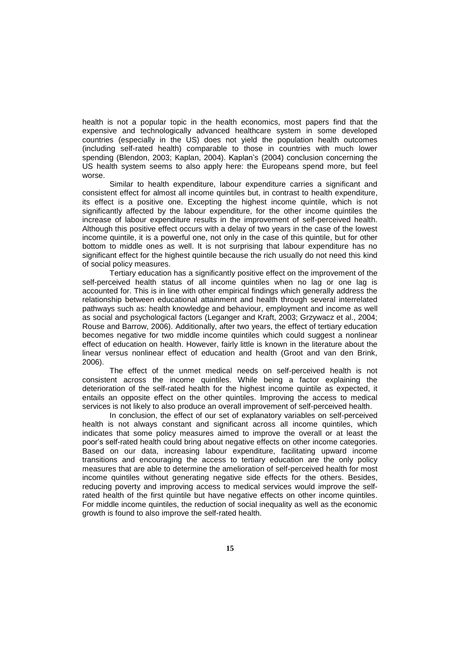health is not a popular topic in the health economics, most papers find that the expensive and technologically advanced healthcare system in some developed countries (especially in the US) does not yield the population health outcomes (including self-rated health) comparable to those in countries with much lower spending (Blendon, 2003; Kaplan, 2004). Kaplan's (2004) conclusion concerning the US health system seems to also apply here: the Europeans spend more, but feel worse.

Similar to health expenditure, labour expenditure carries a significant and consistent effect for almost all income quintiles but, in contrast to health expenditure, its effect is a positive one. Excepting the highest income quintile, which is not significantly affected by the labour expenditure, for the other income quintiles the increase of labour expenditure results in the improvement of self-perceived health. Although this positive effect occurs with a delay of two years in the case of the lowest income quintile, it is a powerful one, not only in the case of this quintile, but for other bottom to middle ones as well. It is not surprising that labour expenditure has no significant effect for the highest quintile because the rich usually do not need this kind of social policy measures.

Tertiary education has a significantly positive effect on the improvement of the self-perceived health status of all income quintiles when no lag or one lag is accounted for. This is in line with other empirical findings which generally address the relationship between educational attainment and health through several interrelated pathways such as: health knowledge and behaviour, employment and income as well as social and psychological factors (Leganger and Kraft, 2003; Grzywacz et al., 2004; Rouse and Barrow, 2006). Additionally, after two years, the effect of tertiary education becomes negative for two middle income quintiles which could suggest a nonlinear effect of education on health. However, fairly little is known in the literature about the linear versus nonlinear effect of education and health (Groot and van den Brink, 2006).

The effect of the unmet medical needs on self-perceived health is not consistent across the income quintiles. While being a factor explaining the deterioration of the self-rated health for the highest income quintile as expected, it entails an opposite effect on the other quintiles. Improving the access to medical services is not likely to also produce an overall improvement of self-perceived health.

In conclusion, the effect of our set of explanatory variables on self-perceived health is not always constant and significant across all income quintiles, which indicates that some policy measures aimed to improve the overall or at least the poor's self-rated health could bring about negative effects on other income categories. Based on our data, increasing labour expenditure, facilitating upward income transitions and encouraging the access to tertiary education are the only policy measures that are able to determine the amelioration of self-perceived health for most income quintiles without generating negative side effects for the others. Besides, reducing poverty and improving access to medical services would improve the selfrated health of the first quintile but have negative effects on other income quintiles. For middle income quintiles, the reduction of social inequality as well as the economic growth is found to also improve the self-rated health.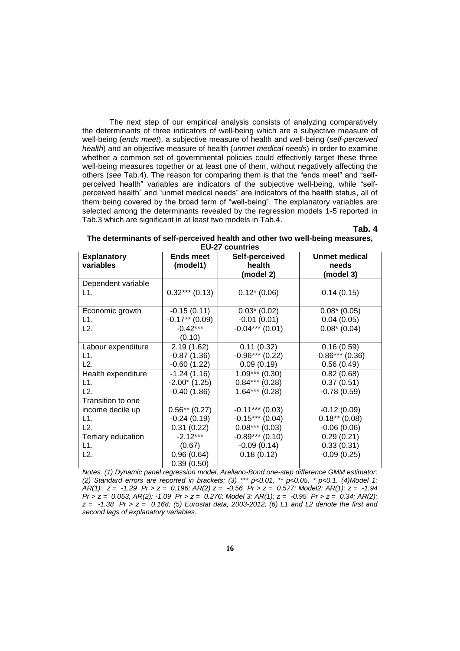The next step of our empirical analysis consists of analyzing comparatively the determinants of three indicators of well-being which are a subjective measure of well-being (*ends meet*), a subjective measure of health and well-being (*self-perceived health*) and an objective measure of health (*unmet medical needs*) in order to examine whether a common set of governmental policies could effectively target these three well-being measures together or at least one of them, without negatively affecting the others (*see* Tab.4). The reason for comparing them is that the "ends meet" and "selfperceived health" variables are indicators of the subjective well-being, while "selfperceived health" and "unmet medical needs" are indicators of the health status, all of them being covered by the broad term of "well-being". The explanatory variables are selected among the determinants revealed by the regression models 1-5 reported in Tab.3 which are significant in at least two models in Tab.4.

# **Tab. 4**

| The determinants of self-perceived health and other two well-being measures, |
|------------------------------------------------------------------------------|
| <b>EU-27 countries</b>                                                       |

| <b>Explanatory</b> | Ends meet        | Self-perceived    | <b>Unmet medical</b> |  |
|--------------------|------------------|-------------------|----------------------|--|
| variables          | (model1)         | health            | needs                |  |
|                    |                  | (model 2)         | (model 3)            |  |
| Dependent variable |                  |                   |                      |  |
| L1.                | $0.32***(0.13)$  | $0.12*(0.06)$     | 0.14(0.15)           |  |
|                    |                  |                   |                      |  |
| Economic growth    | $-0.15(0.11)$    | $0.03*(0.02)$     | $0.08*(0.05)$        |  |
| L1.                | $-0.17**$ (0.09) | $-0.01(0.01)$     | 0.04(0.05)           |  |
| L2.                | $-0.42***$       | $-0.04***$ (0.01) | $0.08*(0.04)$        |  |
|                    | (0.10)           |                   |                      |  |
| Labour expenditure | 2.19(1.62)       | 0.11(0.32)        | 0.16(0.59)           |  |
| L1.                | $-0.87(1.36)$    | $-0.96***(0.22)$  | $-0.86***(0.36)$     |  |
| L2.                | $-0.60(1.22)$    | 0.09(0.19)        | 0.56(0.49)           |  |
| Health expenditure | $-1.24(1.16)$    | $1.09***(0.30)$   | 0.82(0.68)           |  |
| L1.                | $-2.00*(1.25)$   | $0.84***$ (0.28)  | 0.37(0.51)           |  |
| L2.                | $-0.40(1.86)$    | $1.64***(0.28)$   | $-0.78(0.59)$        |  |
| Transition to one  |                  |                   |                      |  |
| income decile up   | $0.56**$ (0.27)  | $-0.11***$ (0.03) | $-0.12(0.09)$        |  |
| L1.                | $-0.24(0.19)$    | $-0.15***(0.04)$  | $0.18**$ (0.08)      |  |
| L2.                | 0.31(0.22)       | $0.08***(0.03)$   | $-0.06(0.06)$        |  |
| Tertiary education | $-2.12***$       | $-0.89***(0.10)$  | 0.29(0.21)           |  |
| L1.                | (0.67)           | $-0.09(0.14)$     | 0.33(0.31)           |  |
| L2.                | 0.96(0.64)       | 0.18(0.12)        | $-0.09(0.25)$        |  |
|                    | 0.39(0.50)       |                   |                      |  |

*Notes. (1) Dynamic panel regression model, Arellano-Bond one-step difference GMM estimator; (2) Standard errors are reported in brackets; (3) \*\*\* p<0.01, \*\* p<0.05, \* p<0.1. (4)Model 1: AR(1): z = -1.29 Pr > z = 0.196; AR(2) z = -0.56 Pr > z = 0.577; Model2: AR(1): z = -1.94 Pr > z = 0.053, AR(2): -1.09 Pr > z = 0.276; Model 3: AR(1): z = -0.95 Pr > z = 0.34; AR(2): z = -1.38 Pr > z = 0.168; (5) Eurostat data, 2003-2012; (6) L1 and L2 denote the first and second lags of explanatory variables.*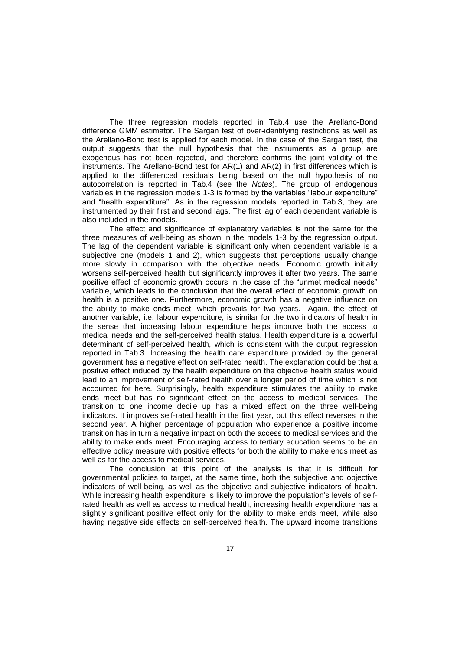The three regression models reported in Tab.4 use the Arellano-Bond difference GMM estimator. The Sargan test of over-identifying restrictions as well as the Arellano-Bond test is applied for each model. In the case of the Sargan test, the output suggests that the null hypothesis that the instruments as a group are exogenous has not been rejected, and therefore confirms the joint validity of the instruments. The Arellano-Bond test for AR(1) and AR(2) in first differences which is applied to the differenced residuals being based on the null hypothesis of no autocorrelation is reported in Tab.4 (see the *Notes*). The group of endogenous variables in the regression models 1-3 is formed by the variables "labour expenditure" and "health expenditure". As in the regression models reported in Tab.3, they are instrumented by their first and second lags. The first lag of each dependent variable is also included in the models.

The effect and significance of explanatory variables is not the same for the three measures of well-being as shown in the models 1-3 by the regression output. The lag of the dependent variable is significant only when dependent variable is a subjective one (models 1 and 2), which suggests that perceptions usually change more slowly in comparison with the objective needs. Economic growth initially worsens self-perceived health but significantly improves it after two years. The same positive effect of economic growth occurs in the case of the "unmet medical needs" variable, which leads to the conclusion that the overall effect of economic growth on health is a positive one. Furthermore, economic growth has a negative influence on the ability to make ends meet, which prevails for two years. Again, the effect of another variable, i.e. labour expenditure, is similar for the two indicators of health in the sense that increasing labour expenditure helps improve both the access to medical needs and the self-perceived health status. Health expenditure is a powerful determinant of self-perceived health, which is consistent with the output regression reported in Tab.3. Increasing the health care expenditure provided by the general government has a negative effect on self-rated health. The explanation could be that a positive effect induced by the health expenditure on the objective health status would lead to an improvement of self-rated health over a longer period of time which is not accounted for here. Surprisingly, health expenditure stimulates the ability to make ends meet but has no significant effect on the access to medical services. The transition to one income decile up has a mixed effect on the three well-being indicators. It improves self-rated health in the first year, but this effect reverses in the second year. A higher percentage of population who experience a positive income transition has in turn a negative impact on both the access to medical services and the ability to make ends meet. Encouraging access to tertiary education seems to be an effective policy measure with positive effects for both the ability to make ends meet as well as for the access to medical services.

The conclusion at this point of the analysis is that it is difficult for governmental policies to target, at the same time, both the subjective and objective indicators of well-being, as well as the objective and subjective indicators of health. While increasing health expenditure is likely to improve the population's levels of selfrated health as well as access to medical health, increasing health expenditure has a slightly significant positive effect only for the ability to make ends meet, while also having negative side effects on self-perceived health. The upward income transitions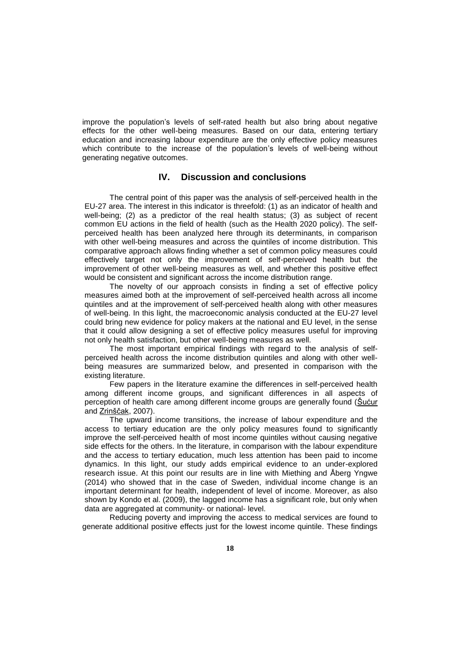improve the population's levels of self-rated health but also bring about negative effects for the other well-being measures. Based on our data, entering tertiary education and increasing labour expenditure are the only effective policy measures which contribute to the increase of the population's levels of well-being without generating negative outcomes.

# **IV. Discussion and conclusions**

The central point of this paper was the analysis of self-perceived health in the EU-27 area. The interest in this indicator is threefold: (1) as an indicator of health and well-being; (2) as a predictor of the real health status; (3) as subject of recent common EU actions in the field of health (such as the Health 2020 policy). The selfperceived health has been analyzed here through its determinants, in comparison with other well-being measures and across the quintiles of income distribution. This comparative approach allows finding whether a set of common policy measures could effectively target not only the improvement of self-perceived health but the improvement of other well-being measures as well, and whether this positive effect would be consistent and significant across the income distribution range.

The novelty of our approach consists in finding a set of effective policy measures aimed both at the improvement of self-perceived health across all income quintiles and at the improvement of self-perceived health along with other measures of well-being. In this light, the macroeconomic analysis conducted at the EU-27 level could bring new evidence for policy makers at the national and EU level, in the sense that it could allow designing a set of effective policy measures useful for improving not only health satisfaction, but other well-being measures as well.

The most important empirical findings with regard to the analysis of selfperceived health across the income distribution quintiles and along with other wellbeing measures are summarized below, and presented in comparison with the existing literature.

Few papers in the literature examine the differences in self-perceived health among different income groups, and significant differences in all aspects of perception of health care among different income groups are generally found [\(Šućur](http://www.ncbi.nlm.nih.gov/pubmed/?term=%26%23x00160%3Bu%26%23x00107%3Bur%20Z%5Bauth%5D) and [Zrinščak,](http://www.ncbi.nlm.nih.gov/pubmed/?term=Zrin%26%23x00161%3B%26%23x0010d%3Bak%20S%5Bauth%5D) 2007).

The upward income transitions, the increase of labour expenditure and the access to tertiary education are the only policy measures found to significantly improve the self-perceived health of most income quintiles without causing negative side effects for the others. In the literature, in comparison with the labour expenditure and the access to tertiary education, much less attention has been paid to income dynamics. In this light, our study adds empirical evidence to an under-explored research issue. At this point our results are in line with Miething and Åberg Yngwe (2014) who showed that in the case of Sweden, individual income change is an important determinant for health, independent of level of income. Moreover, as also shown by Kondo et al. (2009), the lagged income has a significant role, but only when data are aggregated at community- or national- level.

Reducing poverty and improving the access to medical services are found to generate additional positive effects just for the lowest income quintile. These findings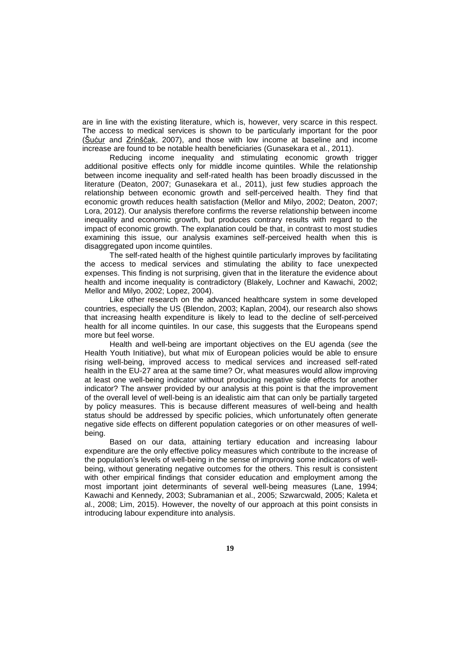are in line with the existing literature, which is, however, very scarce in this respect. The access to medical services is shown to be particularly important for the poor [\(Šućur](http://www.ncbi.nlm.nih.gov/pubmed/?term=%26%23x00160%3Bu%26%23x00107%3Bur%20Z%5Bauth%5D) and [Zrinščak,](http://www.ncbi.nlm.nih.gov/pubmed/?term=Zrin%26%23x00161%3B%26%23x0010d%3Bak%20S%5Bauth%5D) 2007), and those with low income at baseline and income increase are found to be notable health beneficiaries (Gunasekara et al., 2011).

Reducing income inequality and stimulating economic growth trigger additional positive effects only for middle income quintiles. While the relationship between income inequality and self-rated health has been broadly discussed in the literature (Deaton, 2007; Gunasekara et al., 2011), just few studies approach the relationship between economic growth and self-perceived health. They find that economic growth reduces health satisfaction (Mellor and Milyo, 2002; Deaton, 2007; Lora, 2012). Our analysis therefore confirms the reverse relationship between income inequality and economic growth, but produces contrary results with regard to the impact of economic growth. The explanation could be that, in contrast to most studies examining this issue, our analysis examines self-perceived health when this is disaggregated upon income quintiles.

The self-rated health of the highest quintile particularly improves by facilitating the access to medical services and stimulating the ability to face unexpected expenses. This finding is not surprising, given that in the literature the evidence about health and income inequality is contradictory (Blakely, Lochner and Kawachi, 2002; Mellor and Milyo, 2002; Lopez, 2004).

Like other research on the advanced healthcare system in some developed countries, especially the US (Blendon, 2003; Kaplan, 2004), our research also shows that increasing health expenditure is likely to lead to the decline of self-perceived health for all income quintiles. In our case, this suggests that the Europeans spend more but feel worse.

Health and well-being are important objectives on the EU agenda (*see* the Health Youth Initiative), but what mix of European policies would be able to ensure rising well-being, improved access to medical services and increased self-rated health in the EU-27 area at the same time? Or, what measures would allow improving at least one well-being indicator without producing negative side effects for another indicator? The answer provided by our analysis at this point is that the improvement of the overall level of well-being is an idealistic aim that can only be partially targeted by policy measures. This is because different measures of well-being and health status should be addressed by specific policies, which unfortunately often generate negative side effects on different population categories or on other measures of wellbeing.

Based on our data, attaining tertiary education and increasing labour expenditure are the only effective policy measures which contribute to the increase of the population's levels of well-being in the sense of improving some indicators of wellbeing, without generating negative outcomes for the others. This result is consistent with other empirical findings that consider education and employment among the most important joint determinants of several well-being measures (Lane, 1994; Kawachi and Kennedy, 2003; Subramanian et al., 2005; Szwarcwald, 2005; Kaleta et al., 2008; Lim, 2015). However, the novelty of our approach at this point consists in introducing labour expenditure into analysis.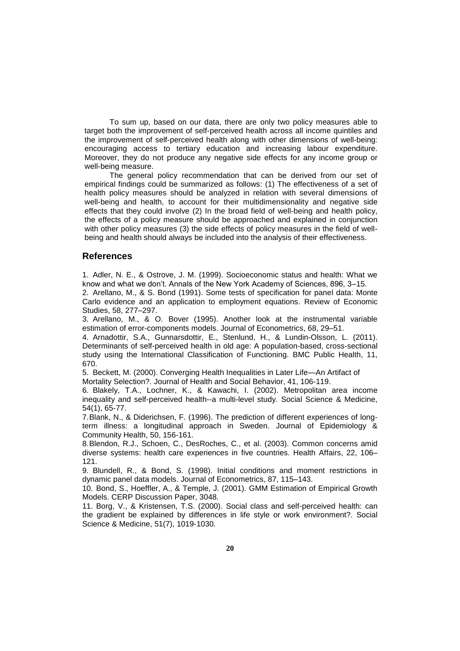To sum up, based on our data, there are only two policy measures able to target both the improvement of self-perceived health across all income quintiles and the improvement of self-perceived health along with other dimensions of well-being: encouraging access to tertiary education and increasing labour expenditure. Moreover, they do not produce any negative side effects for any income group or well-being measure.

The general policy recommendation that can be derived from our set of empirical findings could be summarized as follows: (1) The effectiveness of a set of health policy measures should be analyzed in relation with several dimensions of well-being and health, to account for their multidimensionality and negative side effects that they could involve (2) In the broad field of well-being and health policy, the effects of a policy measure should be approached and explained in conjunction with other policy measures (3) the side effects of policy measures in the field of wellbeing and health should always be included into the analysis of their effectiveness.

## **References**

1. Adler, N. E., & Ostrove, J. M. (1999). Socioeconomic status and health: What we know and what we don't. Annals of the New York Academy of Sciences, 896, 3–15.

2. Arellano, M., & S. Bond (1991). Some tests of specification for panel data: Monte Carlo evidence and an application to employment equations. Review of Economic Studies, 58, 277–297.

3. Arellano, M., & O. Bover (1995). Another look at the instrumental variable estimation of error-components models. Journal of Econometrics, 68, 29–51.

4. Arnadottir, S.A., Gunnarsdottir, E., Stenlund, H., & Lundin-Olsson, L. (2011). Determinants of self-perceived health in old age: A population-based, cross-sectional study using the International Classification of Functioning. BMC Public Health, 11, 670.

5. Beckett, M. (2000). Converging Health Inequalities in Later Life—An Artifact of Mortality Selection?. Journal of Health and Social Behavior, 41, 106-119.

6. Blakely, T.A., Lochner, K., & Kawachi, I. (2002). Metropolitan area income inequality and self-perceived health--a multi-level study. Social Science & Medicine, 54(1), 65-77.

7.Blank, N., & Diderichsen, F. (1996). The prediction of different experiences of longterm illness: a longitudinal approach in Sweden. Journal of Epidemiology & Community Health, 50, 156-161.

8.Blendon, R.J., Schoen, C., DesRoches, C., et al. (2003). Common concerns amid diverse systems: health care experiences in five countries. Health Affairs, 22, 106– 121.

9. Blundell, R., & Bond, S. (1998). Initial conditions and moment restrictions in dynamic panel data models. Journal of Econometrics, 87, 115–143.

10. Bond, S., Hoeffler, A., & Temple, J. (2001). GMM Estimation of Empirical Growth Models. CERP Discussion Paper, 3048.

11. Borg, V., & Kristensen, T.S. (2000). Social class and self-perceived health: can the gradient be explained by differences in life style or work environment?. Social Science & Medicine, 51(7), 1019-1030.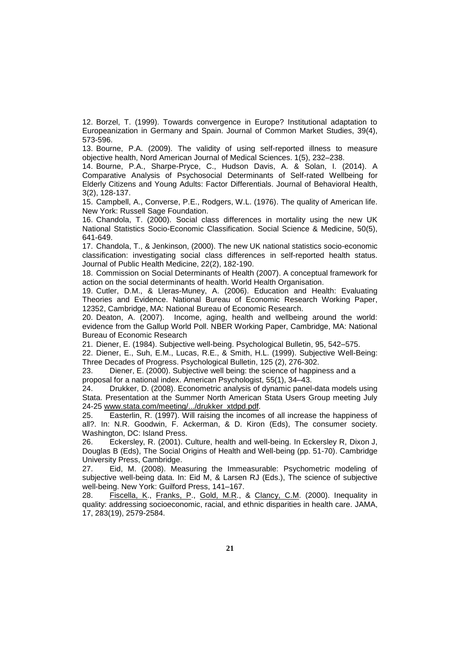12. Borzel, T. (1999). Towards convergence in Europe? Institutional adaptation to Europeanization in Germany and Spain. Journal of Common Market Studies, 39(4), 573-596.

13. Bourne, P.A. (2009). The validity of using self-reported illness to measure objective health, Nord American Journal of Medical Sciences. 1(5), 232–238.

14. Bourne, P.A., Sharpe-Pryce, C., Hudson Davis, A. & Solan, I. (2014). A Comparative Analysis of Psychosocial Determinants of Self-rated Wellbeing for Elderly Citizens and Young Adults: Factor Differentials. Journal of Behavioral Health, 3(2), 128-137.

15. Campbell, A., Converse, P.E., Rodgers, W.L. (1976). The quality of American life. New York: Russell Sage Foundation.

16. Chandola, T. (2000). Social class differences in mortality using the new UK National Statistics Socio-Economic Classification. Social Science & Medicine, 50(5), 641-649.

17. Chandola, T., & Jenkinson, (2000). The new UK national statistics socio-economic classification: investigating social class differences in self-reported health status. Journal of Public Health Medicine, 22(2), 182-190.

18. Commission on Social Determinants of Health (2007). A conceptual framework for action on the social determinants of health. World Health Organisation.

19. Cutler, D.M., & Lleras-Muney, A. (2006). Education and Health: Evaluating Theories and Evidence. National Bureau of Economic Research Working Paper, 12352, Cambridge, MA: National Bureau of Economic Research.

20. Deaton, A. (2007). Income, aging, health and wellbeing around the world: evidence from the Gallup World Poll. NBER Working Paper, Cambridge, MA: National Bureau of Economic Research

21. Diener, E. (1984). Subjective well-being. Psychological Bulletin, 95, 542–575.

22. Diener, E., Suh, E.M., Lucas, R.E., & Smith, H.L. (1999). Subjective Well-Being: Three Decades of Progress. Psychological Bulletin, 125 (2), 276-302.

23. Diener, E. (2000). Subjective well being: the science of happiness and a proposal for a national index. American Psychologist, 55(1), 34–43.

24. Drukker, D. (2008). Econometric analysis of dynamic panel-data models using Stata. Presentation at the Summer North American Stata Users Group meeting July 24-25 [www.stata.com/meeting/.../drukker\\_xtdpd.pdf](http://www.stata.com/meeting/.../drukker_xtdpd.pdf)*.*

25. Easterlin, R. (1997). Will raising the incomes of all increase the happiness of all?. In: N.R. Goodwin, F. Ackerman, & D. Kiron (Eds), The consumer society. Washington, DC: Island Press.

26. Eckersley, R. (2001). Culture, health and well-being. In Eckersley R, Dixon J, Douglas B (Eds), The Social Origins of Health and Well-being (pp. 51-70). Cambridge University Press, Cambridge.

27. Eid, M. (2008). Measuring the Immeasurable: Psychometric modeling of subjective well-being data. In: Eid M, & Larsen RJ (Eds.), The science of subjective well-being. New York: Guilford Press, 141–167.

28. [Fiscella, K.](http://www.ncbi.nlm.nih.gov/pubmed/?term=Fiscella%20K%5BAuthor%5D&cauthor=true&cauthor_uid=10815125), [Franks, P.](http://www.ncbi.nlm.nih.gov/pubmed/?term=Franks%20P%5BAuthor%5D&cauthor=true&cauthor_uid=10815125), [Gold, M.R.](http://www.ncbi.nlm.nih.gov/pubmed/?term=Gold%20MR%5BAuthor%5D&cauthor=true&cauthor_uid=10815125), & [Clancy, C.M.](http://www.ncbi.nlm.nih.gov/pubmed/?term=Clancy%20CM%5BAuthor%5D&cauthor=true&cauthor_uid=10815125) (2000). Inequality in quality: addressing socioeconomic, racial, and ethnic disparities in health care. JAMA, 17, 283(19), 2579-2584.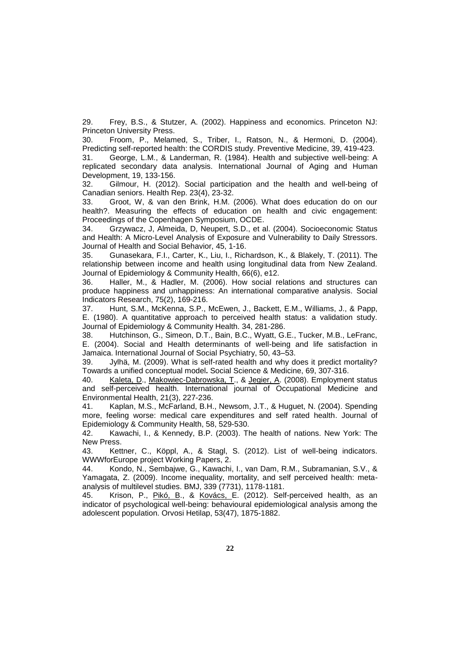29. Frey, B.S., & Stutzer, A. (2002). Happiness and economics. Princeton NJ: Princeton University Press.

30. Froom, P., Melamed, S., Triber, I., Ratson, N., & Hermoni, D. (2004). Predicting self-reported health: the CORDIS study. Preventive Medicine, 39, 419-423.

31. George, L.M., & Landerman, R. (1984). Health and subjective well-being: A replicated secondary data analysis. International Journal of Aging and Human Development, 19, 133-156.

32. Gilmour, H. (2012). Social participation and the health and well-being of Canadian seniors. Health Rep. 23(4), 23-32.

33. Groot, W, & van den Brink, H.M. (2006). What does education do on our health?. Measuring the effects of education on health and civic engagement: Proceedings of the Copenhagen Symposium, OCDE.

34. Grzywacz, J, Almeida, D, Neupert, S.D., et al. (2004). Socioeconomic Status and Health: A Micro-Level Analysis of Exposure and Vulnerability to Daily Stressors. Journal of Health and Social Behavior, 45, 1-16.

35. Gunasekara, F.I., Carter, K., Liu, I., Richardson, K., & Blakely, T. (2011). The relationship between income and health using longitudinal data from New Zealand. Journal of Epidemiology & Community Health, 66(6), e12.

36. Haller, M., & Hadler, M. (2006). How social relations and structures can produce happiness and unhappiness: An international comparative analysis. Social Indicators Research, 75(2), 169-216.

37. Hunt, S.M., McKenna, S.P., McEwen, J., Backett, E.M., Williams, J., & Papp, E. (1980). A quantitative approach to perceived health status: a validation study. Journal of Epidemiology & Community Health. 34, 281-286.

38. Hutchinson, G., Simeon, D.T., Bain, B.C., Wyatt, G.E., Tucker, M.B., LeFranc, E. (2004). Social and Health determinants of well-being and life satisfaction in Jamaica. International Journal of Social Psychiatry, 50, 43–53.

39. Jylhä, M. (2009). What is self-rated health and why does it predict mortality? Towards a unified conceptual model**.** Social Science & Medicine, 69, 307-316.

40. [Kaleta, D.](http://www.ncbi.nlm.nih.gov/pubmed/?term=Kaleta%20D%5BAuthor%5D&cauthor=true&cauthor_uid=18842579), [Makowiec-Dabrowska, T.](http://www.ncbi.nlm.nih.gov/pubmed/?term=Makowiec-Dabrowska%20T%5BAuthor%5D&cauthor=true&cauthor_uid=18842579), & [Jegier, A.](http://www.ncbi.nlm.nih.gov/pubmed/?term=Jegier%20A%5BAuthor%5D&cauthor=true&cauthor_uid=18842579) (2008). Employment status and self-perceived health. International journal of Occupational Medicine and Environmental Health, 21(3), 227-236.

41. Kaplan, M.S., McFarland, B.H., Newsom, J.T., & Huguet, N. (2004). Spending more, feeling worse: medical care expenditures and self rated health. Journal of Epidemiology & Community Health, 58, 529-530.

42. Kawachi, I., & Kennedy, B.P. (2003). The health of nations. New York: The New Press.

43. Kettner, C., Köppl, A., & Stagl, S. (2012). List of well-being indicators. WWWforEurope project Working Papers, 2.

44. Kondo, N., Sembajwe, G., Kawachi, I., van Dam, R.M., Subramanian, S.V., & Yamagata, Z. (2009). Income inequality, mortality, and self perceived health: metaanalysis of multilevel studies. BMJ, 339 (7731), 1178-1181.

45. Krison, P., [Pikó,](http://www.ncbi.nlm.nih.gov/pubmed/?term=Pik%C3%B3%20B%5BAuthor%5D&cauthor=true&cauthor_uid=23160079) B., & [Kovács,](http://www.ncbi.nlm.nih.gov/pubmed/?term=Kov%C3%A1cs%20E%5BAuthor%5D&cauthor=true&cauthor_uid=23160079) E. (2012). Self-perceived health, as an indicator of psychological well-being: behavioural epidemiological analysis among the adolescent population. Orvosi Hetilap, 53(47), 1875-1882.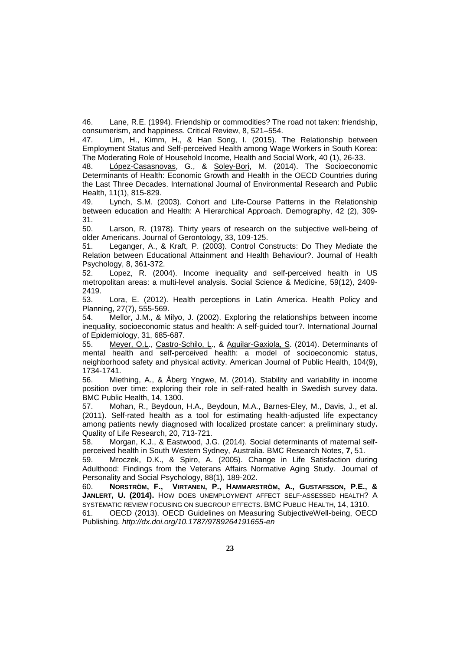46. Lane, R.E. (1994). Friendship or commodities? The road not taken: friendship, consumerism, and happiness. Critical Review, 8, 521–554.

47. Lim, H., Kimm, H., & Han Song, I. (2015). The Relationship between Employment Status and Self-perceived Health among Wage Workers in South Korea: The Moderating Role of Household Income, Health and Social Work, 40 (1), 26-33.

48. [López-Casasnovas,](http://www.mdpi.com/search?authors=Guillem%20L%C3%B3pez-Casasnovas) G., & [Soley-Bori,](http://www.mdpi.com/search?authors=Marina%20Soley-Bori) M. (2014). The Socioeconomic Determinants of Health: Economic Growth and Health in the OECD Countries during the Last Three Decades. International Journal of Environmental Research and Public Health, 11(1), 815-829.

49. Lynch, S.M. (2003). Cohort and Life-Course Patterns in the Relationship between education and Health: A Hierarchical Approach. Demography, 42 (2), 309- 31.

50. Larson, R. (1978). Thirty years of research on the subjective well-being of older Americans. Journal of Gerontology, 33, 109-125.

51. Leganger, A., & Kraft, P. (2003). Control Constructs: Do They Mediate the Relation between Educational Attainment and Health Behaviour?. Journal of Health Psychology, 8, 361-372.

52. Lopez, R. (2004). Income inequality and self-perceived health in US metropolitan areas: a multi-level analysis. Social Science & Medicine, 59(12), 2409- 2419.

53. Lora, E. (2012). Health perceptions in Latin America. Health Policy and Planning, 27(7), 555-569.

54. Mellor, J.M., & Milyo, J. (2002). Exploring the relationships between income inequality, socioeconomic status and health: A self-guided tour?. International Journal of Epidemiology, 31, 685-687.

55. [Meyer, O.L.](http://www.ncbi.nlm.nih.gov/pubmed/?term=Meyer%20OL%5BAuthor%5D&cauthor=true&cauthor_uid=25033151), [Castro-Schilo, L.](http://www.ncbi.nlm.nih.gov/pubmed/?term=Castro-Schilo%20L%5BAuthor%5D&cauthor=true&cauthor_uid=25033151), & [Aguilar-Gaxiola, S.](http://www.ncbi.nlm.nih.gov/pubmed/?term=Aguilar-Gaxiola%20S%5BAuthor%5D&cauthor=true&cauthor_uid=25033151) (2014). Determinants of mental health and self-perceived health: a model of socioeconomic status, neighborhood safety and physical activity. American Journal of Public Health, 104(9), 1734-1741.

56. Miething, A., & Åberg Yngwe, M. (2014). Stability and variability in income position over time: exploring their role in self-rated health in Swedish survey data. BMC Public Health, 14, 1300.

57. Mohan, R., Beydoun, H.A., Beydoun, M.A., Barnes-Eley, M., Davis, J., et al. (2011). Self-rated health as a tool for estimating health-adjusted life expectancy among patients newly diagnosed with localized prostate cancer: a preliminary study**.** Quality of Life Research, 20, 713-721.

58. Morgan, K.J., & Eastwood, J.G. (2014). Social determinants of maternal selfperceived health in South Western Sydney, Australia. BMC Research Notes, **7**, 51.

59. Mroczek, D.K., & Spiro, A. (2005). Change in Life Satisfaction during Adulthood: Findings from the Veterans Affairs Normative Aging Study. Journal of Personality and Social Psychology, 88(1), 189-202.

60. **NORSTRÖM, F., VIRTANEN, P., HAMMARSTRÖM, A., GUSTAFSSON, P.E., & JANLERT, U. (2014).** HOW DOES UNEMPLOYMENT AFFECT SELF-ASSESSED HEALTH? A SYSTEMATIC REVIEW FOCUSING ON SUBGROUP EFFECTS. BMC PUBLIC HEALTH, 14, 1310.

61. OECD (2013). OECD Guidelines on Measuring SubjectiveWell-being, OECD Publishing. *http://dx.doi.org/10.1787/9789264191655-en*